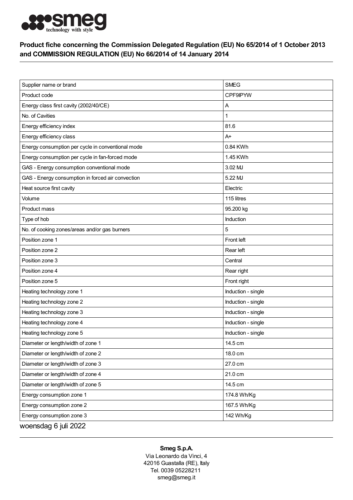

## Product fiche concerning the Commission Delegated Regulation (EU) No 65/2014 of 1 October 2013 and COMMISSION REGULATION (EU) No 66/2014 of 14 January 2014

| Supplier name or brand                            | <b>SMEG</b>        |
|---------------------------------------------------|--------------------|
| Product code                                      | <b>CPF9IPYW</b>    |
| Energy class first cavity (2002/40/CE)            | Α                  |
| No. of Cavities                                   | 1                  |
| Energy efficiency index                           | 81.6               |
| Energy efficiency class                           | $A+$               |
| Energy consumption per cycle in conventional mode | 0.84 KWh           |
| Energy consumption per cycle in fan-forced mode   | 1.45 KWh           |
| GAS - Energy consumption conventional mode        | 3.02 MJ            |
| GAS - Energy consumption in forced air convection | 5.22 MJ            |
| Heat source first cavity                          | Electric           |
| Volume                                            | 115 litres         |
| Product mass                                      | 95.200 kg          |
| Type of hob                                       | Induction          |
| No. of cooking zones/areas and/or gas burners     | 5                  |
| Position zone 1                                   | Front left         |
| Position zone 2                                   | Rear left          |
| Position zone 3                                   | Central            |
| Position zone 4                                   | Rear right         |
| Position zone 5                                   | Front right        |
| Heating technology zone 1                         | Induction - single |
| Heating technology zone 2                         | Induction - single |
| Heating technology zone 3                         | Induction - single |
| Heating technology zone 4                         | Induction - single |
| Heating technology zone 5                         | Induction - single |
| Diameter or length/width of zone 1                | 14.5 cm            |
| Diameter or length/width of zone 2                | 18.0 cm            |
| Diameter or length/width of zone 3                | 27.0 cm            |
| Diameter or length/width of zone 4                | 21.0 cm            |
| Diameter or length/width of zone 5                | 14.5 cm            |
| Energy consumption zone 1                         | 174.8 Wh/Kg        |
| Energy consumption zone 2                         | 167.5 Wh/Kg        |
| Energy consumption zone 3                         | 142 Wh/Kg          |
| woensdag 6 juli 2022                              |                    |

## Smeg S.p.A.

Via Leonardo da Vinci, 4 42016 Guastalla (RE), Italy Tel. 0039 05228211 smeg@smeg.it